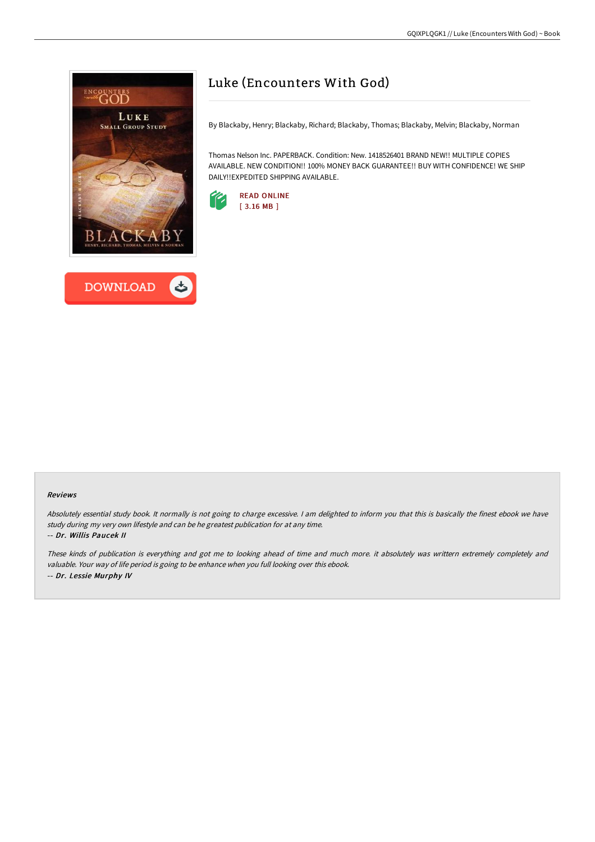



# Luke (Encounters With God)

By Blackaby, Henry; Blackaby, Richard; Blackaby, Thomas; Blackaby, Melvin; Blackaby, Norman

Thomas Nelson Inc. PAPERBACK. Condition: New. 1418526401 BRAND NEW!! MULTIPLE COPIES AVAILABLE. NEW CONDITION!! 100% MONEY BACK GUARANTEE!! BUY WITH CONFIDENCE! WE SHIP DAILY!!EXPEDITED SHIPPING AVAILABLE.



#### Reviews

Absolutely essential study book. It normally is not going to charge excessive. <sup>I</sup> am delighted to inform you that this is basically the finest ebook we have study during my very own lifestyle and can be he greatest publication for at any time. -- Dr. Willis Paucek II

These kinds of publication is everything and got me to looking ahead of time and much more. it absolutely was writtern extremely completely and valuable. Your way of life period is going to be enhance when you full looking over this ebook. -- Dr. Lessie Murphy IV